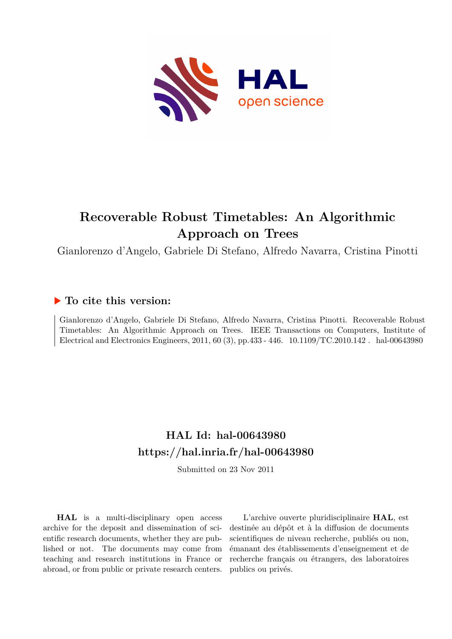

## **Recoverable Robust Timetables: An Algorithmic Approach on Trees**

Gianlorenzo d'Angelo, Gabriele Di Stefano, Alfredo Navarra, Cristina Pinotti

### **To cite this version:**

Gianlorenzo d'Angelo, Gabriele Di Stefano, Alfredo Navarra, Cristina Pinotti. Recoverable Robust Timetables: An Algorithmic Approach on Trees. IEEE Transactions on Computers, Institute of Electrical and Electronics Engineers, 2011, 60 (3), pp.433 - 446.  $10.1109/TC.2010.142$ . hal-00643980

## **HAL Id: hal-00643980 <https://hal.inria.fr/hal-00643980>**

Submitted on 23 Nov 2011

**HAL** is a multi-disciplinary open access archive for the deposit and dissemination of scientific research documents, whether they are published or not. The documents may come from teaching and research institutions in France or abroad, or from public or private research centers.

L'archive ouverte pluridisciplinaire **HAL**, est destinée au dépôt et à la diffusion de documents scientifiques de niveau recherche, publiés ou non, émanant des établissements d'enseignement et de recherche français ou étrangers, des laboratoires publics ou privés.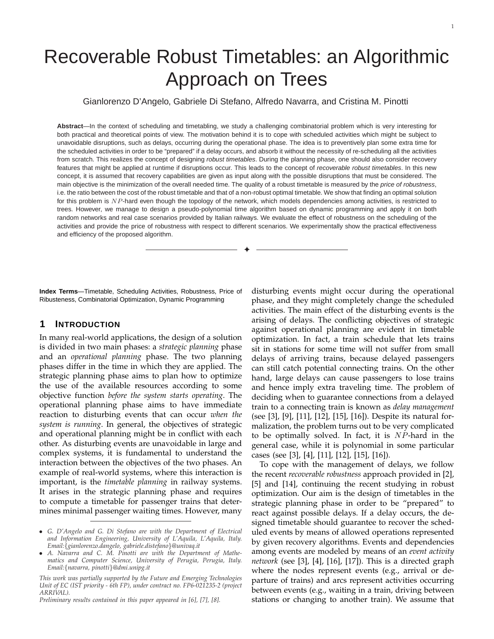# Recoverable Robust Timetables: an Algorithmic Approach on Trees

Gianlorenzo D'Angelo, Gabriele Di Stefano, Alfredo Navarra, and Cristina M. Pinotti

**Abstract**—In the context of scheduling and timetabling, we study a challenging combinatorial problem which is very interesting for both practical and theoretical points of view. The motivation behind it is to cope with scheduled activities which might be subject to unavoidable disruptions, such as delays, occurring during the operational phase. The idea is to preventively plan some extra time for the scheduled activities in order to be "prepared" if a delay occurs, and absorb it without the necessity of re-scheduling all the activities from scratch. This realizes the concept of designing robust timetables. During the planning phase, one should also consider recovery features that might be applied at runtime if disruptions occur. This leads to the concept of recoverable robust timetables. In this new concept, it is assumed that recovery capabilities are given as input along with the possible disruptions that must be considered. The main objective is the minimization of the overall needed time. The quality of a robust timetable is measured by the price of robustness, i.e. the ratio between the cost of the robust timetable and that of a non-robust optimal timetable. We show that finding an optimal solution for this problem is  $NP$ -hard even though the topology of the network, which models dependencies among activities, is restricted to trees. However, we manage to design a pseudo-polynomial time algorithm based on dynamic programming and apply it on both random networks and real case scenarios provided by Italian railways. We evaluate the effect of robustness on the scheduling of the activities and provide the price of robustness with respect to different scenarios. We experimentally show the practical effectiveness and efficiency of the proposed algorithm.

✦

**Index Terms**—Timetable, Scheduling Activities, Robustness, Price of Ribusteness, Combinatorial Optimization, Dynamic Programming

#### **1 INTRODUCTION**

In many real-world applications, the design of a solution is divided in two main phases: a *strategic planning* phase and an *operational planning* phase. The two planning phases differ in the time in which they are applied. The strategic planning phase aims to plan how to optimize the use of the available resources according to some objective function *before the system starts operating*. The operational planning phase aims to have immediate reaction to disturbing events that can occur *when the system is running*. In general, the objectives of strategic and operational planning might be in conflict with each other. As disturbing events are unavoidable in large and complex systems, it is fundamental to understand the interaction between the objectives of the two phases. An example of real-world systems, where this interaction is important, is the *timetable planning* in railway systems. It arises in the strategic planning phase and requires to compute a timetable for passenger trains that determines minimal passenger waiting times. However, many

*Preliminary results contained in this paper appeared in [6], [7], [8].*

disturbing events might occur during the operational phase, and they might completely change the scheduled activities. The main effect of the disturbing events is the arising of delays. The conflicting objectives of strategic against operational planning are evident in timetable optimization. In fact, a train schedule that lets trains sit in stations for some time will not suffer from small delays of arriving trains, because delayed passengers can still catch potential connecting trains. On the other hand, large delays can cause passengers to lose trains and hence imply extra traveling time. The problem of deciding when to guarantee connections from a delayed train to a connecting train is known as *delay management* (see [3], [9], [11], [12], [15], [16]). Despite its natural formalization, the problem turns out to be very complicated to be optimally solved. In fact, it is NP-hard in the general case, while it is polynomial in some particular cases (see [3], [4], [11], [12], [15], [16]).

To cope with the management of delays, we follow the recent *recoverable robustness* approach provided in [2], [5] and [14], continuing the recent studying in robust optimization. Our aim is the design of timetables in the strategic planning phase in order to be "prepared" to react against possible delays. If a delay occurs, the designed timetable should guarantee to recover the scheduled events by means of allowed operations represented by given recovery algorithms. Events and dependencies among events are modeled by means of an *event activity network* (see [3], [4], [16], [17]). This is a directed graph where the nodes represent events (e.g., arrival or departure of trains) and arcs represent activities occurring between events (e.g., waiting in a train, driving between stations or changing to another train). We assume that

<sup>•</sup> *G. D'Angelo and G. Di Stefano are with the Department of Electrical and Information Engineering, University of L'Aquila, L'Aquila, Italy. Email:*{*gianlorenzo.dangelo, gabriele.distefano*}*@univaq.it*

<sup>•</sup> *A. Navarra and C. M. Pinotti are with the Department of Mathematics and Computer Science, University of Perugia, Perugia, Italy. Email:*{*navarra, pinotti*}*@dmi.unipg.it*

*This work was partially supported by the Future and Emerging Technologies Unit of EC (IST priority - 6th FP), under contract no. FP6-021235-2 (project ARRIVAL).*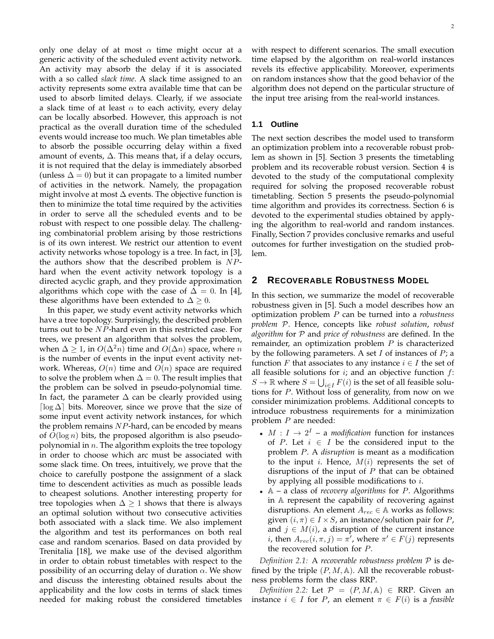only one delay of at most  $\alpha$  time might occur at a generic activity of the scheduled event activity network. An activity may absorb the delay if it is associated with a so called *slack time*. A slack time assigned to an activity represents some extra available time that can be used to absorb limited delays. Clearly, if we associate a slack time of at least  $\alpha$  to each activity, every delay can be locally absorbed. However, this approach is not practical as the overall duration time of the scheduled events would increase too much. We plan timetables able to absorb the possible occurring delay within a fixed amount of events,  $\Delta$ . This means that, if a delay occurs, it is not required that the delay is immediately absorbed (unless  $\Delta = 0$ ) but it can propagate to a limited number of activities in the network. Namely, the propagation might involve at most  $\Delta$  events. The objective function is then to minimize the total time required by the activities in order to serve all the scheduled events and to be robust with respect to one possible delay. The challenging combinatorial problem arising by those restrictions is of its own interest. We restrict our attention to event activity networks whose topology is a tree. In fact, in [3], the authors show that the described problem is  $NP$ hard when the event activity network topology is a directed acyclic graph, and they provide approximation algorithms which cope with the case of  $\Delta = 0$ . In [4], these algorithms have been extended to  $\Delta \geq 0$ .

In this paper, we study event activity networks which have a tree topology. Surprisingly, the described problem turns out to be NP-hard even in this restricted case. For trees, we present an algorithm that solves the problem, when  $\Delta \geq 1$ , in  $O(\Delta^2 n)$  time and  $O(\Delta n)$  space, where n is the number of events in the input event activity network. Whereas,  $O(n)$  time and  $O(n)$  space are required to solve the problem when  $\Delta = 0$ . The result implies that the problem can be solved in pseudo-polynomial time. In fact, the parameter  $\Delta$  can be clearly provided using [ $\log \Delta$ ] bits. Moreover, since we prove that the size of some input event activity network instances, for which the problem remains  $NP$ -hard, can be encoded by means of  $O(\log n)$  bits, the proposed algorithm is also pseudopolynomial in  $n$ . The algorithm exploits the tree topology in order to choose which arc must be associated with some slack time. On trees, intuitively, we prove that the choice to carefully postpone the assignment of a slack time to descendent activities as much as possible leads to cheapest solutions. Another interesting property for tree topologies when  $\Delta \geq 1$  shows that there is always an optimal solution without two consecutive activities both associated with a slack time. We also implement the algorithm and test its performances on both real case and random scenarios. Based on data provided by Trenitalia [18], we make use of the devised algorithm in order to obtain robust timetables with respect to the possibility of an occurring delay of duration  $\alpha$ . We show and discuss the interesting obtained results about the applicability and the low costs in terms of slack times needed for making robust the considered timetables with respect to different scenarios. The small execution time elapsed by the algorithm on real-world instances revels its effective applicability. Moreover, experiments on random instances show that the good behavior of the algorithm does not depend on the particular structure of the input tree arising from the real-world instances.

#### **1.1 Outline**

The next section describes the model used to transform an optimization problem into a recoverable robust problem as shown in [5]. Section 3 presents the timetabling problem and its recoverable robust version. Section 4 is devoted to the study of the computational complexity required for solving the proposed recoverable robust timetabling. Section 5 presents the pseudo-polynomial time algorithm and provides its correctness. Section 6 is devoted to the experimental studies obtained by applying the algorithm to real-world and random instances. Finally, Section 7 provides conclusive remarks and useful outcomes for further investigation on the studied problem.

#### **2 RECOVERABLE ROBUSTNESS MODEL**

In this section, we summarize the model of recoverable robustness given in [5]. Such a model describes how an optimization problem P can be turned into a *robustness problem* P. Hence, concepts like *robust solution*, *robust algorithm* for P and *price of robustness* are defined. In the remainder, an optimization problem  $P$  is characterized by the following parameters. A set  $I$  of instances of  $P$ ; a function F that associates to any instance  $i \in I$  the set of all feasible solutions for *i*; and an objective function *f*:  $S \to \mathbb{R}$  where  $S = \bigcup_{i \in I} F(i)$  is the set of all feasible solutions for P. Without loss of generality, from now on we consider minimization problems. Additional concepts to introduce robustness requirements for a minimization problem P are needed:

- $M: I \rightarrow 2^I$  a *modification* function for instances of P. Let  $i \in I$  be the considered input to the problem P. A *disruption* is meant as a modification to the input *i*. Hence,  $M(i)$  represents the set of disruptions of the input of  $P$  that can be obtained by applying all possible modifications to  $i$ .
- A a class of *recovery algorithms* for P. Algorithms in A represent the capability of recovering against disruptions. An element  $A_{rec} \in A$  works as follows: given  $(i, \pi) \in I \times S$ , an instance/solution pair for P, and  $j \in M(i)$ , a disruption of the current instance *i*, then  $A_{rec}(i, \pi, j) = \pi^j$ , where  $\pi' \in F(j)$  represents the recovered solution for P.

*Definition 2.1:* A *recoverable robustness problem* P is defined by the triple  $(P, M, A)$ . All the recoverable robustness problems form the class RRP.

*Definition 2.2:* Let  $P = (P, M, A) \in RRP$ . Given an instance  $i \in I$  for P, an element  $\pi \in F(i)$  is a *feasible*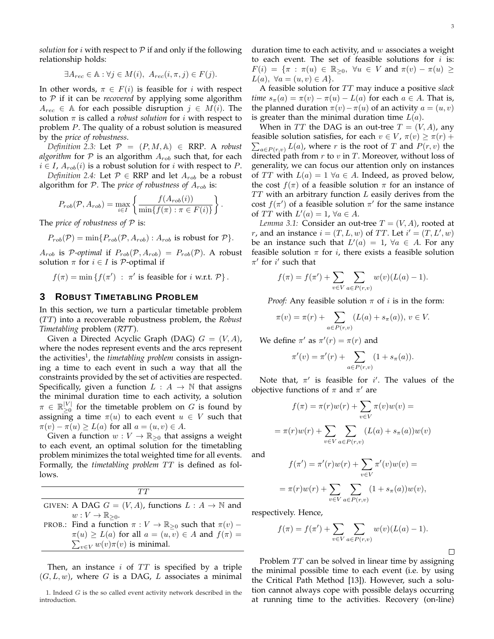*solution* for *i* with respect to  $P$  if and only if the following relationship holds:

$$
\exists A_{rec} \in \mathbb{A} : \forall j \in M(i), \ A_{rec}(i, \pi, j) \in F(j).
$$

In other words,  $\pi \in F(i)$  is feasible for i with respect to P if it can be *recovered* by applying some algorithm  $A_{rec} \in A$  for each possible disruption  $j \in M(i)$ . The solution  $\pi$  is called a *robust solution* for *i* with respect to problem P. The quality of a robust solution is measured by the *price of robustness*.

*Definition 2.3:* Let  $P = (P, M, A) \in RRP$ . A robust *algorithm* for  $P$  is an algorithm  $A_{rob}$  such that, for each  $i \in I$ ,  $A_{rob}(i)$  is a robust solution for i with respect to P.

*Definition 2.4:* Let  $P \in RRP$  and let  $A_{rob}$  be a robust algorithm for  $P$ . The *price of robustness of*  $A_{rob}$  is:

$$
P_{rob}(\mathcal{P}, A_{rob}) = \max_{i \in I} \left\{ \frac{f(A_{rob}(i))}{\min\{f(\pi) : \pi \in F(i)\}} \right\}.
$$

The *price of robustness of* P is:

$$
P_{rob}(\mathcal{P}) = \min\{P_{rob}(\mathcal{P}, A_{rob}) : A_{rob} \text{ is robust for } \mathcal{P}\}.
$$

 $A_{rob}$  is P-optimal if  $P_{rob}(\mathcal{P}, A_{rob}) = P_{rob}(\mathcal{P})$ . A robust solution  $\pi$  for  $i \in I$  is P-optimal if

 $f(\pi) = \min \{ f(\pi') : \pi' \text{ is feasible for } i \text{ w.r.t. } \mathcal{P} \}.$ 

#### **3 ROBUST TIMETABLING PROBLEM**

In this section, we turn a particular timetable problem (TT) into a recoverable robustness problem, the *Robust Timetabling* problem (RTT ).

Given a Directed Acyclic Graph (DAG)  $G = (V, A)$ , where the nodes represent events and the arcs represent the activities<sup>1</sup>, the *timetabling problem* consists in assigning a time to each event in such a way that all the constraints provided by the set of activities are respected. Specifically, given a function  $L : A \rightarrow \mathbb{N}$  that assigns the minimal duration time to each activity, a solution  $\pi \in \mathbb{R}^{|V|}_{\geq 0}$  $\sum_{\geq 0}^{|V|}$  for the timetable problem on G is found by assigning a time  $\pi(u)$  to each event  $u \in V$  such that  $\pi(v) - \pi(u) \ge L(a)$  for all  $a = (u, v) \in A$ .

Given a function  $w: V \to \mathbb{R}_{\geq 0}$  that assigns a weight to each event, an optimal solution for the timetabling problem minimizes the total weighted time for all events. Formally, the *timetabling problem* TT is defined as follows.

|           | $TT^T$ |  |  |  |
|-----------|--------|--|--|--|
| <u>тт</u> |        |  |  |  |

GIVEN: A DAG  $G = (V, A)$ , functions  $L : A \rightarrow \mathbb{N}$  and  $w: V \to \mathbb{R}_{\geq 0}$ .

PROB.: Find a function  $\pi : V \to \mathbb{R}_{\geq 0}$  such that  $\pi(v)$  –  $\pi(u) \ge L(a)$  for all  $a = (u, v) \in A$  and  $f(\pi) =$  $\sum_{v \in V} w(v) \pi(v)$  is minimal.

Then, an instance  $i$  of  $TT$  is specified by a triple  $(G, L, w)$ , where G is a DAG, L associates a minimal duration time to each activity, and  $w$  associates a weight to each event. The set of feasible solutions for  $i$  is:  $F(i) = \{\pi \,:\, \pi(u) \,\in\, \mathbb{R}_{\geq 0}, \,~\forall u \,\in\, V \text{ and } \pi(v) - \pi(u) \,\geq\, \}$  $L(a), \ \forall a=(u,v)\in A$ .

A feasible solution for TT may induce a positive *slack time*  $s_{\pi}(a) = \pi(v) - \pi(u) - L(a)$  for each  $a \in A$ . That is, the planned duration  $\pi(v) - \pi(u)$  of an activity  $a = (u, v)$ is greater than the minimal duration time  $L(a)$ .

When in TT the DAG is an out-tree  $T = (V, A)$ , any feasible solution satisfies, for each  $v \in V$ ,  $\pi(v) \ge \pi(r) + \sum_{r \in V} \pi(v)$  $\sum_{a \in P(r,v)} L(a)$ , where r is the root of T and  $P(r, v)$  the directed path from  $r$  to  $v$  in  $T$ . Moreover, without loss of generality, we can focus our attention only on instances of TT with  $L(a) = 1 \ \forall a \in A$ . Indeed, as proved below, the cost  $f(\pi)$  of a feasible solution  $\pi$  for an instance of  $TT$  with an arbitrary function  $L$  easily derives from the cost  $f(\pi')$  of a feasible solution  $\pi'$  for the same instance of TT with  $L'(a) = 1$ ,  $\forall a \in A$ .

*Lemma 3.1:* Consider an out-tree  $T = (V, A)$ , rooted at r, and an instance  $i = (T, L, w)$  of TT. Let  $i' = (T, L', w)$ be an instance such that  $L'(a) = 1$ ,  $\forall a \in A$ . For any feasible solution  $\pi$  for *i*, there exists a feasible solution  $\pi'$  for i' such that

$$
f(\pi) = f(\pi') + \sum_{v \in V} \sum_{a \in P(r,v)} w(v) (L(a) - 1).
$$

*Proof:* Any feasible solution  $\pi$  of *i* is in the form:

$$
\pi(v) = \pi(r) + \sum_{a \in P(r,v)} (L(a) + s_{\pi}(a)), \ v \in V.
$$

We define  $\pi'$  as  $\pi'(r) = \pi(r)$  and

$$
\pi'(v) = \pi'(r) + \sum_{a \in P(r,v)} (1 + s_{\pi}(a)).
$$

Note that,  $\pi'$  is feasible for i'. The values of the objective functions of  $\pi$  and  $\pi'$  are

$$
f(\pi) = \pi(r)w(r) + \sum_{v \in V} \pi(v)w(v) =
$$

$$
= \pi(r)w(r) + \sum_{v \in V} \sum_{a \in P(r,v)} (L(a) + s_{\pi}(a))w(v)
$$

and

$$
f(\pi') = \pi'(r)w(r) + \sum_{v \in V} \pi'(v)w(v) =
$$
  
=  $\pi(r)w(r) + \sum_{v \in V} \sum_{a \in P(r,v)} (1 + s_{\pi}(a))w(v),$ 

respectively. Hence,

$$
f(\pi) = f(\pi') + \sum_{v \in V} \sum_{a \in P(r,v)} w(v) (L(a) - 1).
$$

 $\Box$ 

Problem  $TT$  can be solved in linear time by assigning the minimal possible time to each event (i.e. by using the Critical Path Method [13]). However, such a solution cannot always cope with possible delays occurring at running time to the activities. Recovery (on-line)

<sup>1.</sup> Indeed  $G$  is the so called event activity network described in the introduction.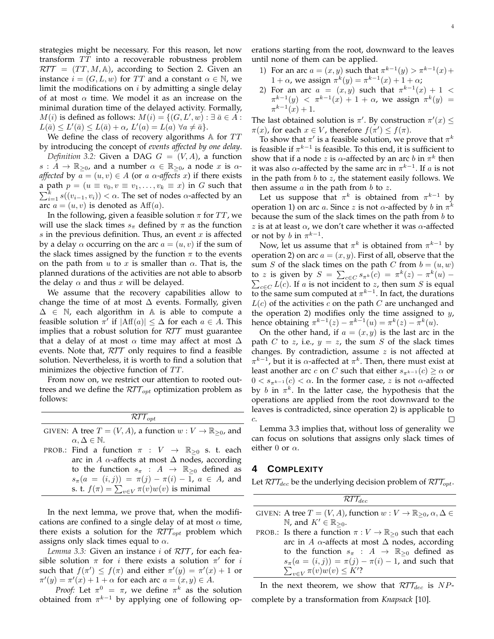strategies might be necessary. For this reason, let now transform  $TT$  into a recoverable robustness problem  $\mathcal{R}TT = (TT, M, \mathbb{A})$ , according to Section 2. Given an instance  $i = (G, L, w)$  for TT and a constant  $\alpha \in \mathbb{N}$ , we limit the modifications on  $i$  by admitting a single delay of at most  $\alpha$  time. We model it as an increase on the minimal duration time of the delayed activity. Formally,  $M(i)$  is defined as follows:  $M(i) = \{(G, L', w) : \exists \overline{a} \in A$ :  $L(\bar{a}) \leq L'(\bar{a}) \leq L(\bar{a}) + \alpha$ ,  $L'(a) = L(a) \ \forall a \neq \bar{a}$ .

We define the class of recovery algorithms  $A$  for  $TT$ by introducing the concept of *events affected by one delay*.

*Definition 3.2:* Given a DAG  $G = (V, A)$ , a function  $s: A \to \mathbb{R}_{\geq 0}$ , and a number  $\alpha \in \mathbb{R}_{\geq 0}$ , a node x is  $\alpha$ *affected* by  $a = (u, v) \in A$  (or a  $\alpha$ -affects x) if there exists a path  $p = (u \equiv v_0, v \equiv v_1, \dots, v_k \equiv x)$  in G such that  $\sum_{i=1}^k s((v_{i-1}, v_i)) < \alpha$ . The set of nodes α-affected by an arc  $a = (u, v)$  is denoted as Aff $(a)$ .

In the following, given a feasible solution  $\pi$  for  $TT$ , we will use the slack times  $s_\pi$  defined by  $\pi$  as the function  $s$  in the previous definition. Thus, an event  $x$  is affected by a delay  $\alpha$  occurring on the arc  $a = (u, v)$  if the sum of the slack times assigned by the function  $\pi$  to the events on the path from u to x is smaller than  $\alpha$ . That is, the planned durations of the activities are not able to absorb the delay  $\alpha$  and thus x will be delayed.

We assume that the recovery capabilities allow to change the time of at most  $\Delta$  events. Formally, given  $\Delta \in \mathbb{N}$ , each algorithm in A is able to compute a feasible solution  $\pi'$  if  $|{\rm Aff}(a)| \leq \Delta$  for each  $a \in A$ . This implies that a robust solution for  $RTT$  must guarantee that a delay of at most  $\alpha$  time may affect at most  $\Delta$ events. Note that,  $RTT$  only requires to find a feasible solution. Nevertheless, it is worth to find a solution that minimizes the objective function of  $TT$ .

From now on, we restrict our attention to rooted outtrees and we define the  $RTT_{opt}$  optimization problem as follows:

|  | rnт<br>r |  |
|--|----------|--|

- GIVEN: A tree  $T = (V, A)$ , a function  $w : V \to \mathbb{R}_{\geq 0}$ , and  $\alpha, \Delta \in \mathbb{N}$ .
- PROB.: Find a function  $\pi : V \to \mathbb{R}_{\geq 0}$  s. t. each arc in A  $\alpha$ -affects at most  $\Delta$  nodes, according to the function  $s_\pi$  :  $A \rightarrow \mathbb{R}_{\geq 0}$  defined as  $s_{\pi}(a = (i, j)) = \pi(j) - \pi(i) - 1, a \in A$ , and  $s_{\pi}(a = (i, j)) = \pi(j) - \pi(i) - 1, a \in$ <br>s. t.  $f(\pi) = \sum_{v \in V} \pi(v)w(v)$  is minimal

In the next lemma, we prove that, when the modifications are confined to a single delay of at most  $\alpha$  time, there exists a solution for the  $RTT_{opt}$  problem which assigns only slack times equal to  $\alpha$ .

*Lemma 3.3:* Given an instance i of RTT , for each feasible solution  $\pi$  for *i* there exists a solution  $\pi'$  for *i* such that  $f(\pi') \leq f(\pi)$  and either  $\pi'(y) = \pi'(x) + 1$  or  $\pi'(y) = \pi'(x) + 1 + \alpha$  for each arc  $a = (x, y) \in A$ .

*Proof:* Let  $\pi^0 = \pi$ , we define  $\pi^k$  as the solution obtained from  $\pi^{k-1}$  by applying one of following operations starting from the root, downward to the leaves until none of them can be applied.

- 1) For an arc  $a = (x, y)$  such that  $\pi^{k-1}(y) > \pi^{k-1}(x) +$  $1 + \alpha$ , we assign  $\pi^k(y) = \pi^{k-1}(x) + 1 + \alpha$ ;
- 2) For an arc  $a = (x, y)$  such that  $\pi^{k-1}(x) + 1 <$  $\pi^{k-1}(y)$  <  $\pi^{k-1}(x) + 1 + \alpha$ , we assign  $\pi^{k}(y) =$  $\pi^{k-1}(x) + 1.$

The last obtained solution is  $\pi'$ . By construction  $\pi'(x) \leq$  $\pi(x)$ , for each  $x \in V$ , therefore  $f(\pi') \leq f(\pi)$ .

To show that  $\pi'$  is a feasible solution, we prove that  $\pi^k$ is feasible if  $\pi^{k-1}$  is feasible. To this end, it is sufficient to show that if a node z is  $\alpha$ -affected by an arc  $b$  in  $\pi^k$  then it was also  $\alpha$ -affected by the same arc in  $\pi^{k-1}$ . If  $a$  is not in the path from  $b$  to  $z$ , the statement easily follows. We then assume  $a$  in the path from  $b$  to  $z$ .

Let us suppose that  $\pi^k$  is obtained from  $\pi^{k-1}$  by operation 1) on arc a. Since z is not  $\alpha$ -affected by b in  $\pi^k$ because the sum of the slack times on the path from  $b$  to z is at at least  $\alpha$ , we don't care whether it was  $\alpha$ -affected or not by b in  $\pi^{k-1}$ .

Now, let us assume that  $\pi^k$  is obtained from  $\pi^{k-1}$  by operation 2) on arc  $a = (x, y)$ . First of all, observe that the sum S of the slack times on the path C from  $b = (u, w)$ to z is given by  $S = \sum_{c \in C} s_{\pi^k}(c) = \pi^k(z) - \pi^k(u) _{c\in C}$  *L*(*c*). If *a* is not incident to *z*, then sum *S* is equal to the same sum computed at  $\pi^{k-1}$ . In fact, the durations  $L(c)$  of the activities c on the path C are unchanged and the operation 2) modifies only the time assigned to  $y$ , hence obtaining  $\pi^{k-1}(z) - \pi^{k-1}(u) = \pi^k(z) - \pi^k(u)$ .

On the other hand, if  $a = (x, y)$  is the last arc in the path C to z, i.e.,  $y = z$ , the sum S of the slack times changes. By contradiction, assume  $z$  is not affected at  $\pi^{k-1}$ , but it is  $\alpha$ -affected at  $\pi^k$ . Then, there must exist at least another arc *c* on *C* such that either  $s_{\pi^{k-1}}(c) \ge \alpha$  or  $0 < s_{\pi^{k-1}}(c) < \alpha$ . In the former case, z is not  $\alpha$ -affected by b in  $\pi^k$ . In the latter case, the hypothesis that the operations are applied from the root downward to the leaves is contradicted, since operation 2) is applicable to c.

Lemma 3.3 implies that, without loss of generality we can focus on solutions that assigns only slack times of either 0 or  $\alpha$ .

#### **4 COMPLEXITY**

Let  $\mathcal{R}T\mathcal{T}_{dec}$  be the underlying decision problem of  $\mathcal{R}T\mathcal{T}_{opt}$ .

| $\mathcal{RTT}_{dec}$                                                                        |
|----------------------------------------------------------------------------------------------|
| GIVEN: A tree $T = (V, A)$ , function $w : V \to \mathbb{R}_{\geq 0}$ , $\alpha, \Delta \in$ |
| $\mathbb{N}$ , and $K' \in \mathbb{R}_{\geq 0}$ .                                            |

PROB.: Is there a function  $\pi : V \to \mathbb{R}_{\geq 0}$  such that each arc in A  $\alpha$ -affects at most  $\Delta$  nodes, according to the function  $s_\pi$  :  $A \rightarrow \mathbb{R}_{\geq 0}$  defined as  $s_{\pi}(a = (i, j)) = \pi(j) - \pi(i) - 1$ , and such that  $v \in V$   $\pi(v)w(v) \leq K'$ ?

In the next theorem, we show that  $\mathcal{R}TT_{dec}$  is  $NP$ complete by a transformation from *Knapsack* [10].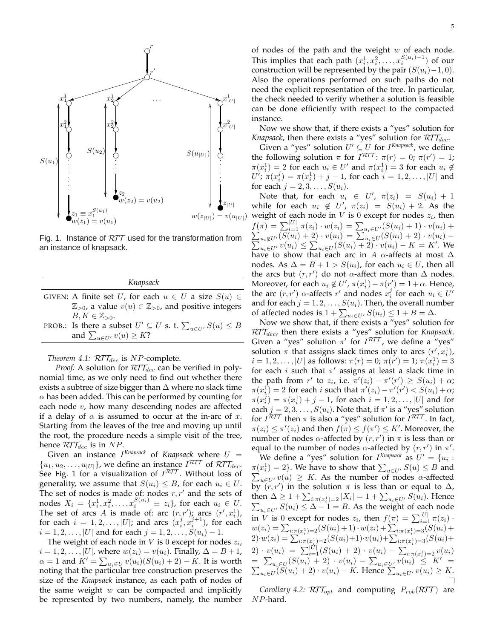

Fig. 1. Instance of  $RTT$  used for the transformation from an instance of knapsack.

*Knapsack*

- GIVEN: A finite set U, for each  $u \in U$  a size  $S(u) \in$  $\mathbb{Z}_{>0}$ , a value  $v(u) \in \mathbb{Z}_{>0}$ , and positive integers  $B, K \in \mathbb{Z}_{>0}$ . **PROB.:** Is there a subset  $U' \subseteq U$  s. t.  $\sum_{u \in U'} S(u) \leq B$
- and  $\sum_{u \in U'} v(u) \geq K$ ?

#### *Theorem 4.1:*  $RTT_{dec}$  is  $NP$ -complete.

*Proof:* A solution for  $RTT_{dec}$  can be verified in polynomial time, as we only need to find out whether there exists a subtree of size bigger than  $\Delta$  where no slack time  $\alpha$  has been added. This can be performed by counting for each node  $v$ , how many descending nodes are affected if a delay of  $\alpha$  is assumed to occur at the in-arc of x. Starting from the leaves of the tree and moving up until the root, the procedure needs a simple visit of the tree, hence  $\mathcal{RTT}_{dec}$  is in  $NP$ .

Given an instance  $I^{Knapsack}$  of *Knapsack* where  $U =$  $\{u_1, u_2, \dots, u_{|U|}\}\$ , we define an instance  $I^{\mathcal{RTT}}$  of  $\mathcal{RTT}_{dec}$ . See Fig. 1 for a visualization of  $I^{\mathcal{R}TT}$ . Without loss of generality, we assume that  $S(u_i) \leq B$ , for each  $u_i \in U$ . The set of nodes is made of: nodes  $r, r'$  and the sets of nodes  $X_i = \{x_i^1, x_i^2, \ldots, x_i^{S(u_i)} \equiv z_i\}$ , for each  $u_i \in U$ . The set of arcs A is made of: arc  $(r, r')$ ; arcs  $(r', x_i^1)$ , for each  $i = 1, 2, \ldots, |U|$ ; and arcs  $(x_i^j, x_i^{j+1})$ , for each  $i = 1, 2, \ldots, |U|$  and for each  $j = 1, 2, \ldots, S(u_i) - 1$ .

The weight of each node in  $V$  is 0 except for nodes  $z_i$ ,  $i = 1, 2, ..., |U|$ , where  $w(z_i) = v(u_i)$ . Finally,  $\Delta = B + 1$ ,  $\alpha = 1$  and  $K' = \sum_{u_i \in U} v(u_i)(S(u_i) + 2) - K$ . It is worth noting that the particular tree construction preserves the size of the *Knapsack* instance, as each path of nodes of the same weight  $w$  can be compacted and implicitly be represented by two numbers, namely, the number

of nodes of the path and the weight  $w$  of each node. This implies that each path  $(x_i^1, x_i^2, \ldots, x_i^{S(u_i)-1})$  of our construction will be represented by the pair  $(S(u_i)-1, 0)$ . Also the operations performed on such paths do not need the explicit representation of the tree. In particular, the check needed to verify whether a solution is feasible can be done efficiently with respect to the compacted instance.

Now we show that, if there exists a "yes" solution for *Knapsack*, then there exists a "yes" solution for  $\mathcal{RTT}_{dec}$ .

Given a "yes" solution  $U' \subseteq U$  for  $I^{Knapsack}$ , we define the following solution  $\pi$  for  $I^{RTT}$ :  $\pi(r) = 0$ ;  $\pi(r') = 1$ ;  $\pi(x_i^1) = 2$  for each  $u_i \in U'$  and  $\pi(x_i^1) = 3$  for each  $u_i \notin$  $U'$ ;  $\pi(x_i^j) = \pi(x_i^1) + j - 1$ , for each  $i = 1, 2, ..., |U|$  and for each  $j = 2, 3, ..., S(u_i)$ .

Note that, for each  $u_i \in U'$ ,  $\pi(z_i) = S(u_i) + 1$ while for each  $u_i \notin U'$ ,  $\pi(z_i) = S(u_i) + 2$ . As the weight of each node in  $V$  is 0 except for nodes  $z_i$ , then weight of each node in *V* is 0 except for nodes  $z_i$ , then<br>  $f(\pi) = \sum_{i=1}^{|U|} \pi(z_i) \cdot w(z_i) = \sum_{u_i \in U'} (S(u_i) + 1) \cdot v(u_i) +$ <br>  $\sum_{u_i \notin U'} (S(u_i) + 2) \cdot v(u_i) = \sum_{u_i \in U} (S(u_i) + 2) \cdot v(u_i)$  $u_i \notin U' \times (u_i) + 2$ <br>  $u_i \in U' \times (u_i) \leq \sum$  $u_i \in U(S(u_i) + 2) \cdot v(u_i) - K = K'$ . We have to show that each arc in A  $\alpha$ -affects at most  $\Delta$ nodes. As  $\Delta = B + 1 > S(u_i)$ , for each  $u_i \in U$ , then all the arcs but  $(r, r')$  do not  $\alpha$ -affect more than  $\Delta$  nodes. Moreover, for each  $u_i \notin U'$ ,  $\pi(x_i^1) - \pi(r') = 1 + \alpha$ . Hence, the arc  $(r, r')$   $\alpha$ -affects r' and nodes  $x_i^j$  for each  $u_i \in U'$ and for each  $j = 1, 2, \ldots, S(u_i)$ . Then, the overall number and for each  $j = 1, 2, ..., S(u_i)$ . Then, the overall full<br>of affected nodes is  $1 + \sum_{u_i \in U'} S(u_i) \leq 1 + B = \Delta$ .

Now we show that, if there exists a "yes" solution for  $RTT_{dec}$ , then there exists a "yes" solution for *Knapsack*. Given a "yes" solution  $\pi'$  for  $I^{RTT}$ , we define a "yes" solution  $\pi$  that assigns slack times only to arcs  $(r', x_i^1)$ ,  $i = 1, 2, \dots, |U|$  as follows:  $\pi(r) = 0$ ;  $\pi(r') = 1$ ;  $\pi(x_i^1) = 3$ for each *i* such that  $\pi'$  assigns at least a slack time in the path from r' to  $z_i$ , i.e.  $\pi'(z_i) - \pi'(r') \geq S(u_i) + \alpha;$  $\pi(x_i^1) = 2$  for each i such that  $\pi'(z_i) - \pi'(r') < S(u_i) + \alpha;$  $\pi(x_i^{\bar{j}}) = \pi(x_i^1) + j - 1$ , for each  $i = 1, 2, ..., |U|$  and for each  $j = 2, 3, ..., S(u_i)$ . Note that, if  $\pi'$  is a "yes" solution for  $I^{\mathcal{R}TT}$  then  $\pi$  is also a "yes" solution for  $I^{\mathcal{R}TT}$ . In fact,  $\pi(z_i) \leq \pi'(z_i)$  and then  $f(\pi) \leq f(\pi') \leq K'$ . Moreover, the number of nodes  $\alpha$ -affected by  $(r, r')$  in  $\pi$  is less than or equal to the number of nodes  $\alpha$ -affected by  $(r, r')$  in  $\pi'$ .

We define a "yes" solution for  $I^{Knapsack}$  as  $U' = \{u_i :$ we define a yest solution for  $T \rightarrow \infty$  as  $U = \{u_i : \pi(x_i^1) = 2\}$ . We have to show that  $\sum_{u \in U'} S(u) \leq B$  and  $\sum_{u\in U'} v(u) \geq K$ . As the number of nodes  $\alpha$ -affected by  $(r, r')$  in the solution  $\pi$  is less than or equal to  $\Delta$ , by  $(r, r)$  in the solution  $\pi$  is less than or equal to  $\Delta$ ,<br>then  $\Delta \ge 1 + \sum_{i: \pi(x_i^1) = 2} |X_i| = 1 + \sum_{u_i \in U'} S(u_i)$ . Hence  $u_i \in U$ ,  $S(u_i) \leq \Delta - 1 = B$ . As the weight of each node  $\sum_{u_i \in U'} v(u_i) \leq \frac{1}{2}$  if  $I = D$ . The the weight of each hoad in V is 0 except for nodes  $z_i$ , then  $f(\pi) = \sum_{i=1}^{|U|} \pi(z_i)$ . In V is 0 except for nodes  $z_i$ , then  $f(\pi) = \sum_{i=1}^{\infty} \pi(z_i) \cdot$ <br>  $w(z_i) = \sum_{i:\pi(x_i^1)=2} (S(u_i) + 1) \cdot w(z_i) + \sum_{i:\pi(x_i^1)=3} (S(u_i) +$  $\begin{array}{l} w(z_i)-\sum_{i:\pi(x_i^1)=2}(\beta(u_i)+1)\cdot w(z_i)+\sum_{i:\pi(x_i^1)=3}(\beta(u_i)+2)\cdot w(z_i)=\sum_{i:\pi(x_i^1)=2}(S(u_i)+1)\cdot v(u_i)+\sum_{i:\pi(x_i^1)=3}(S(u_i)+1)\cdot w(z_i)=0 \end{array}$  $2) \cdot v(u_i) = \sum_{i=1}^{\lfloor t/2 \rfloor} (S(u_i) + 2) \cdot v(u_i) - \sum_{i=1}^{\lfloor t/2 \rfloor}$  $_{i:\pi(x_{i}^{1})=2}v(u_{i})$  $=$   $\sum$  $\mathcal{L}_1 \cdot v(u_i) - \sum_{i=1}^{N} (S(u_i) + 2) \cdot v(u_i) - \sum_{i:\pi(x_i^1) = 2}^{N} v(u_i)$ <br>=  $\sum_{u_i \in U} (S(u_i) + 2) \cdot v(u_i) - \sum_{u_i \in U'} v(u_i) \leq K'$  $\sum_{u_i \in U} (S(u_i) + 2) \cdot v(u_i) - \sum_{u_i \in U'} v(u_i) \le K =$ <br> $u_{i \in U} (S(u_i) + 2) \cdot v(u_i) - K$ . Hence  $\sum_{u_i \in U'} v(u_i) \ge K$ .  $\Box$ 

*Corollary 4.2:*  $RTT_{opt}$  and computing  $P_{rob}(RTT)$  are NP-hard.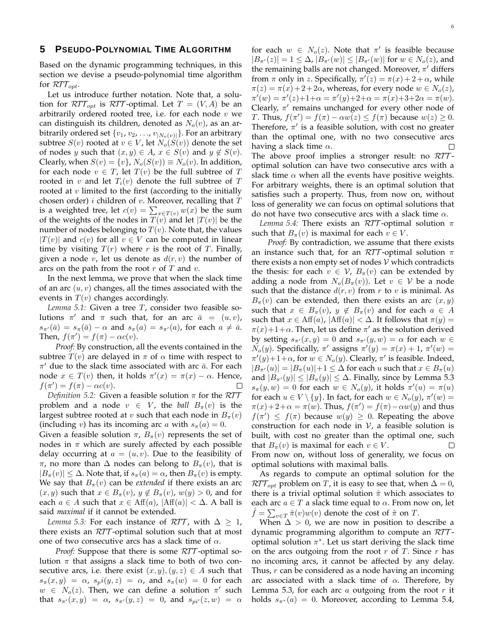#### **5 PSEUDO-POLYNOMIAL TIME ALGORITHM**

Based on the dynamic programming techniques, in this section we devise a pseudo-polynomial time algorithm for  $\mathcal{RTT}_{\text{opt}}$ .

Let us introduce further notation. Note that, a solution for  $\mathcal{R}TT_{opt}$  is  $\mathcal{R}TT$ -optimal. Let  $T = (V, A)$  be an arbitrarily ordered rooted tree, i.e. for each node  $v$  we can distinguish its children, denoted as  $N<sub>o</sub>(v)$ , as an arbitrarily ordered set  $\{v_1, v_2, \ldots, v_{|N_o(v)|}\}.$  For an arbitrary subtree  $S(v)$  rooted at  $v \in V$ , let  $N_o(S(v))$  denote the set of nodes y such that  $(x, y) \in A$ ,  $x \in S(v)$  and  $y \notin S(v)$ . Clearly, when  $S(v) = \{v\}$ ,  $N_o(S(v)) \equiv N_o(v)$ . In addition, for each node  $v \in T$ , let  $T(v)$  be the full subtree of T rooted in v and let  $T_i(v)$  denote the full subtree of T rooted at  $v$  limited to the first (according to the initially chosen order)  $i$  children of  $v$ . Moreover, recalling that  $T$ chosen order) *i* children of *v*. Moreover, recalling that *I* is a weighted tree, let  $c(v) = \sum_{x \in T(v)} w(x)$  be the sum of the weights of the nodes in  $T(v)$  and let  $|T(v)|$  be the number of nodes belonging to  $T(v)$ . Note that, the values  $|T(v)|$  and  $c(v)$  for all  $v \in V$  can be computed in linear time by visiting  $T(r)$  where r is the root of T. Finally, given a node v, let us denote as  $d(r, v)$  the number of arcs on the path from the root  $r$  of  $T$  and  $v$ .

In the next lemma, we prove that when the slack time of an arc  $(u, v)$  changes, all the times associated with the events in  $T(v)$  changes accordingly.

*Lemma 5.1:* Given a tree T, consider two feasible solutions  $\pi'$  and  $\pi$  such that, for an arc  $\bar{a} = (u, v)$ ,  $s_{\pi}(\bar{a}) = s_{\pi}(\bar{a}) - \alpha$  and  $s_{\pi}(a) = s_{\pi}(a)$ , for each  $a \neq \bar{a}$ . Then,  $f(\pi') = f(\pi) - \alpha c(v)$ .

*Proof:* By construction, all the events contained in the subtree  $T(v)$  are delayed in  $\pi$  of  $\alpha$  time with respect to  $\pi'$  due to the slack time associated with arc  $\bar{a}$ . For each node  $x \in T(v)$  then, it holds  $\pi'(x) = \pi(x) - \alpha$ . Hence,  $f(\pi') = f(\pi) - \alpha c(v).$ 

*Definition 5.2:* Given a feasible solution  $\pi$  for the RTT problem and a node  $v \in V$ , the *ball*  $B_\pi(v)$  is the largest subtree rooted at v such that each node in  $B_{\pi}(v)$ (including *v*) has its incoming arc *a* with  $s_\pi(a) = 0$ .

Given a feasible solution  $\pi$ ,  $B_{\pi}(v)$  represents the set of nodes in  $\pi$  which are surely affected by each possible delay occurring at  $a = (u, v)$ . Due to the feasibility of π, no more than  $\Delta$  nodes can belong to  $B_\pi(v)$ , that is  $|B_{\pi}(v)| \leq \Delta$ . Note that, if  $s_{\pi}(a) = \alpha$ , then  $B_{\pi}(v)$  is empty. We say that  $B_{\pi}(v)$  can be *extended* if there exists an arc  $(x, y)$  such that  $x \in B_\pi(v)$ ,  $y \notin B_\pi(v)$ ,  $w(y) > 0$ , and for each  $a \in A$  such that  $x \in Aff(a)$ ,  $|Aff(a)| < \Delta$ . A ball is said *maximal* if it cannot be extended.

*Lemma 5.3:* For each instance of  $RTT$ , with  $\Delta \geq 1$ , there exists an RTT -optimal solution such that at most one of two consecutive arcs has a slack time of  $\alpha$ .

*Proof:* Suppose that there is some *RTT*-optimal solution  $\pi$  that assigns a slack time to both of two consecutive arcs, i.e. there exist  $(x, y), (y, z) \in A$  such that  $s_{\pi}(x, y) = \alpha$ ,  $s_{p}(y, z) = \alpha$ , and  $s_{\pi}(w) = 0$  for each  $w \in N_o(z)$ . Then, we can define a solution  $\pi'$  such that  $s_{\pi}(x, y) = \alpha$ ,  $s_{\pi}(y, z) = 0$ , and  $s_{pi}(z, w) = \alpha$ 

for each  $w \in N_o(z)$ . Note that  $\pi'$  is feasible because  $|B_{\pi'}(z)| = 1 \leq \Delta$ ,  $|B_{\pi'}(w)| \leq |B_{\pi'}(w)|$  for  $w \in N_o(z)$ , and the remaining balls are not changed. Moreover,  $\pi'$  differs from  $\pi$  only in z. Specifically,  $\pi'(z) = \pi(x) + 2 + \alpha$ , while  $\pi(z) = \pi(x) + 2 + 2\alpha$ , whereas, for every node  $w \in N_o(z)$ ,  $\pi'(w) = \pi'(z) + 1 + \alpha = \pi'(y) + 2 + \alpha = \pi(x) + 3 + 2\alpha = \pi(w).$ Clearly,  $\pi'$  remains unchanged for every other node of T. Thus,  $f(\pi') = f(\pi) - \alpha w(z) \leq f(\pi)$  because  $w(z) \geq 0$ . Therefore,  $\pi'$  is a feasible solution, with cost no greater than the optimal one, with no two consecutive arcs having a slack time  $\alpha$ . П The above proof implies a stronger result: no  $RTT$ optimal solution can have two consecutive arcs with a slack time  $\alpha$  when all the events have positive weights. For arbitrary weights, there is an optimal solution that

loss of generality we can focus on optimal solutions that do not have two consecutive arcs with a slack time  $\alpha$ . *Lemma 5.4:* There exists an  $RTT$ -optimal solution  $\pi$ such that  $B_{\pi}(v)$  is maximal for each  $v \in V$ .

satisfies such a property. Thus, from now on, without

*Proof:* By contradiction, we assume that there exists an instance such that, for an  $RTT$ -optimal solution  $\pi$ there exists a non empty set of nodes  $V$  which contradicts the thesis: for each  $v \in V$ ,  $B_{\pi}(v)$  can be extended by adding a node from  $N_o(B_\pi(v))$ . Let  $v \in V$  be a node such that the distance  $d(r, v)$  from r to v is minimal. As  $B_{\pi}(v)$  can be extended, then there exists an arc  $(x, y)$ such that  $x \in B_\pi(v)$ ,  $y \notin B_\pi(v)$  and for each  $a \in A$ such that  $x \in \text{Aff}(a)$ ,  $|\text{Aff}(a)| < \Delta$ . It follows that  $\pi(y) =$  $\pi(x)+1+\alpha$ . Then, let us define  $\pi'$  as the solution derived by setting  $s_{\pi}(x, y) = 0$  and  $s_{\pi}(y, w) = \alpha$  for each  $w \in$  $N_o(y)$ . Specifically,  $\pi'$  assigns  $\pi'(y) = \pi(x) + 1$ ,  $\pi'(w) =$  $\pi'(y)+1+\alpha$ , for  $w \in N_o(y)$ . Clearly,  $\pi'$  is feasible. Indeed,  $|B_{\pi}(u)| = |B_{\pi}(u)|+1 \leq \Delta$  for each u such that  $x \in B_{\pi}(u)$ and  $|B_{\pi}(y)| \leq |B_{\pi}(y)| \leq \Delta$ . Finally, since by Lemma 5.3  $s_{\pi}(y, w) = 0$  for each  $w \in N_o(y)$ , it holds  $\pi'(u) = \pi(u)$ for each  $u \in V \setminus \{y\}$ . In fact, for each  $w \in N_o(y)$ ,  $\pi'(w) =$  $\pi(x)+2+\alpha = \pi(w)$ . Thus,  $f(\pi') = f(\pi) - \alpha w(y)$  and thus  $f(\pi') \leq f(\pi)$  because  $w(y) \geq 0$ . Repeating the above construction for each node in  $V$ , a feasible solution is built, with cost no greater than the optimal one, such that  $B_{\pi}(v)$  is maximal for each  $v \in V$ .  $\Box$ From now on, without loss of generality, we focus on optimal solutions with maximal balls.

As regards to compute an optimal solution for the  $RTT_{opt}$  problem on T, it is easy to see that, when  $\Delta = 0$ , there is a trivial optimal solution  $\hat{\pi}$  which associates to each arc  $a \in T$  a slack time equal to  $\alpha$ . From now on, let  $\hat{f} = \sum_{v \in T} \hat{\pi}(v) w(v)$  denote the cost of  $\hat{\pi}$  on T.

When  $\Delta > 0$ , we are now in position to describe a dynamic programming algorithm to compute an RTToptimal solution  $\pi^*$ . Let us start deriving the slack time on the arcs outgoing from the root  $r$  of  $T$ . Since  $r$  has no incoming arcs, it cannot be affected by any delay. Thus,  $r$  can be considered as a node having an incoming arc associated with a slack time of  $\alpha$ . Therefore, by Lemma 5.3, for each arc  $a$  outgoing from the root  $r$  it holds  $s_{\pi^*}(a) = 0$ . Moreover, according to Lemma 5.4,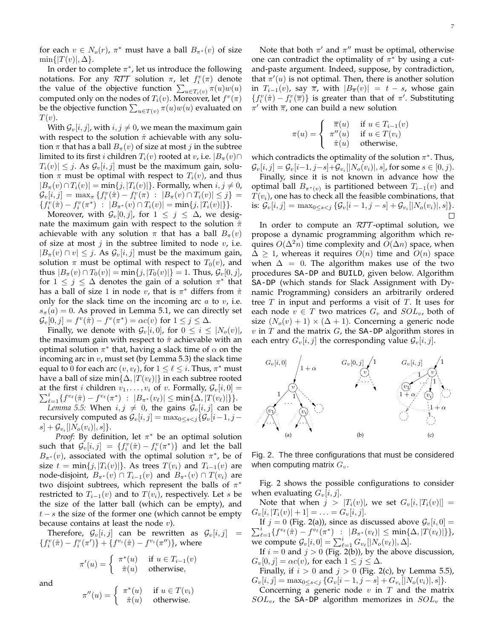for each  $v \in N_o(r)$ ,  $\pi^*$  must have a ball  $B_{\pi^*}(v)$  of size  $\min\{|T(v)|, \Delta\}.$ 

In order to complete  $\pi^*$ , let us introduce the following notations. For any  $\mathcal{R}TT$  solution  $\pi$ , let  $f_i^v(\pi)$  denote motations. For any  $\kappa$ ) solution  $\pi$ , let  $J_i(\pi)$  denote<br>the value of the objective function  $\sum_{u \in T_i(v)} \pi(u)w(u)$ computed only on the nodes of  $T_i(v)$ . Moreover, let  $f^v(\pi)$ computed only on the nodes of  $I_i(v)$ . Moreover, let  $f^{-(\pi)}$ <br>be the objective function  $\sum_{u \in T(v)} \pi(u)w(u)$  evaluated on  $T(v).$ 

With  $\mathcal{G}_v[i, j]$ , with  $i, j \neq 0$ , we mean the maximum gain with respect to the solution  $\hat{\pi}$  achievable with any solution  $\pi$  that has a ball  $B_{\pi}(v)$  of size at most j in the subtree limited to its first *i* children  $T_i(v)$  rooted at v, i.e.  $|B_\pi(v) \cap$  $T_i(v) \leq j$ . As  $\mathcal{G}_v[i, j]$  must be the maximum gain, solution  $\pi$  must be optimal with respect to  $T_i(v)$ , and thus  $|B_{\pi}(v) \cap T_i(v)| = \min\{j, |T_i(v)|\}.$  Formally, when  $i, j \neq 0$ ,  $\mathcal{G}_{v}[i,j] = \max_{\pi} \{f_i^{v}(\hat{\pi}) - f_i^{v}(\pi) \; : \; |B_{\pi}(v) \cap T_i(v)| \leq j\} =$  ${f_i^v(\hat{\pi}) - f_i^v(\pi^*) : |B_{\pi^*}(v) \cap T_i(v)| = \min\{j, |T_i(v)|\}\}.$ 

Moreover, with  $\mathcal{G}_v[0, j]$ , for  $1 \leq j \leq \Delta$ , we designate the maximum gain with respect to the solution  $\hat{\pi}$ achievable with any solution  $\pi$  that has a ball  $B_{\pi}(v)$ of size at most  $j$  in the subtree limited to node  $v$ , i.e.  $|B_{\pi}(v) \cap v| \leq j$ . As  $\mathcal{G}_{v}[i, j]$  must be the maximum gain, solution  $\pi$  must be optimal with respect to  $T_0(v)$ , and thus  $|B_{\pi}(v) \cap T_0(v)| = \min\{j, |T_0(v)|\} = 1$ . Thus,  $\mathcal{G}_{v}[0, j]$ , for  $1 \leq j \leq \Delta$  denotes the gain of a solution  $\pi^*$  that has a ball of size 1 in node v, that is  $\pi^*$  differs from  $\hat{\pi}$ only for the slack time on the incoming arc  $a$  to  $v$ , i.e.  $s_{\pi}(a) = 0$ . As proved in Lemma 5.1, we can directly set  $\mathcal{G}_v[0,j] = f^v(\hat\pi) - f^v(\pi^*) = \alpha c(v) \,\, \text{for} \,\, 1 \leq j \leq \Delta.$ 

Finally, we denote with  $\mathcal{G}_v[i, 0]$ , for  $0 \leq i \leq |N_o(v)|$ , the maximum gain with respect to  $\hat{\pi}$  achievable with an optimal solution  $\pi^*$  that, having a slack time of  $\alpha$  on the incoming arc in  $v$ , must set (by Lemma 5.3) the slack time equal to 0 for each arc  $(v, v_\ell)$ , for  $1 \leq \ell \leq i$ . Thus,  $\pi^*$  must have a ball of size min $\{\Delta, |T(v_{\ell})|\}$  in each subtree rooted at the first *i* children  $v_1, \ldots, v_i$  of *v*. Formally,  $\mathcal{G}_v[i, 0] =$  $\sum_{\ell=1}^i \{ f^{v_\ell}(\hat{\pi}) - f^{v_\ell}(\pi^*) \ : \ |B_{\pi^*}(v_\ell)| \le \min\{\Delta, |T(v_\ell)|\} \}.$ *Lemma 5.5:* When  $i, j \neq 0$ , the gains  $G_v[i, j]$  can be recursively computed as  $\mathcal{G}_v[i, j] = \max_{0 \le s \le j} {\mathcal{G}_v[i - 1, j -}$  $s] + \mathcal{G}_{v_i}[|N_o(v_i)|, s]$ .

*Proof:* By definition, let  $\pi^*$  be an optimal solution such that  $\mathcal{G}_v[i,j] = \{f_i^v(\hat{\pi}) - f_i^v(\pi^*)\}$  and let the ball  $B_{\pi^*}(v)$ , associated with the optimal solution  $\pi^*$ , be of size  $t = \min\{j, |T_i(v)|\}$ . As trees  $T(v_i)$  and  $T_{i-1}(v)$  are node-disjoint,  $B_{\pi^*}(v) \cap T_{i-1}(v)$  and  $B_{\pi^*}(v) \cap T(v_i)$  are two disjoint subtrees, which represent the balls of  $\pi^*$ restricted to  $T_{i-1}(v)$  and to  $T(v_i)$ , respectively. Let s be the size of the latter ball (which can be empty), and  $t - s$  the size of the former one (which cannot be empty because contains at least the node  $v$ ).

Therefore,  $G_v[i, j]$  can be rewritten as  $G_v[i, j]$  =  ${f_i^v(\hat{\pi}) - f_i^v(\pi')} + {f^{v_i}(\hat{\pi}) - f^{v_i}(\pi'')}$ , where

$$
\pi'(u) = \begin{cases} \pi^*(u) & \text{if } u \in T_{i-1}(v) \\ \hat{\pi}(u) & \text{otherwise,} \end{cases}
$$

and

$$
\pi''(u) = \begin{cases} \pi^*(u) & \text{if } u \in T(v_i) \\ \hat{\pi}(u) & \text{otherwise.} \end{cases}
$$

Note that both  $\pi'$  and  $\pi''$  must be optimal, otherwise one can contradict the optimality of  $\pi^*$  by using a cutand-paste argument. Indeed, suppose, by contradiction, that  $\pi'(u)$  is not optimal. Then, there is another solution in  $T_{i-1}(v)$ , say  $\overline{\pi}$ , with  $|B_{\overline{\pi}}(v)| = t - s$ , whose gain  ${f_i^v(\hat{\pi}) - f_i^v(\overline{\pi})}$  is greater than that of  $\pi'$ . Substituting  $\pi'$  with  $\overline{\pi}$ , one can build a new solution

$$
\pi(u) = \begin{cases}\n\overline{\pi}(u) & \text{if } u \in T_{i-1}(v) \\
\pi''(u) & \text{if } u \in T(v_i) \\
\hat{\pi}(u) & \text{otherwise,} \n\end{cases}
$$

which contradicts the optimality of the solution  $\pi^*$ . Thus,  $\mathcal{G}_{v}[i,j] = \mathcal{G}_{v}[i-1,j-s] + \mathcal{G}_{v_i}[|N_o(v_i)|,s]$ , for some  $s \in [0,j)$ .

Finally, since it is not known in advance how the optimal ball  $B_{\pi^*(v)}$  is partitioned between  $T_{i-1}(v)$  and  $T(v_i)$ , one has to check all the feasible combinations, that is:  $\mathcal{G}_{v}[i,j] = \max_{0 \le s \le j} \{ \mathcal{G}_{v}[i-1,j-s] + \mathcal{G}_{v_i}[\vert N_o(v_i) \vert, s] \}.$ 

In order to compute an  $RTT$ -optimal solution, we propose a dynamic programming algorithm which requires  $O(\Delta^2 n)$  time complexity and  $O(\Delta n)$  space, when  $\Delta \geq 1$ , whereas it requires  $O(n)$  time and  $O(n)$  space when  $\Delta = 0$ . The algorithm makes use of the two procedures SA-DP and BUILD, given below. Algorithm SA-DP (which stands for Slack Assignment with Dynamic Programming) considers an arbitrarily ordered tree  $T$  in input and performs a visit of  $T$ . It uses for each node  $v \in T$  two matrices  $G_v$  and  $SOL_v$ , both of size  $(N_o(v) + 1) \times (\Delta + 1)$ . Concerning a generic node  $v$  in  $T$  and the matrix  $G$ , the SA-DP algorithm stores in each entry  $G_v[i, j]$  the corresponding value  $\mathcal{G}_v[i, j]$ .



Fig. 2. The three configurations that must be considered when computing matrix  $G_v$ .

Fig. 2 shows the possible configurations to consider when evaluating  $G_v[i, j]$ .

Note that when  $j > |T_i(v)|$ , we set  $G_v[i, |T_i(v)|] =$  $G_v[i, |T_i(v)| + 1] = \ldots = G_v[i, j].$ 

 $\sum_{\ell=1}^{n} {f^{v_{\ell}}(\hat{\pi}) - f^{v_{\ell}}(\pi^*) \; : \; |B_{\pi^*}(v_{\ell})| \le \min\{\Delta, |T(v_{\ell})|\}\},$ <br>we compute  $\mathcal{G}_v[i, 0] = \sum_{\ell=1}^{i} G_{v_{\ell}}[|N_o(v_{\ell})|, \Delta].$ If  $j = 0$  (Fig. 2(a)), since as discussed above  $\mathcal{G}_v[i, 0] =$ 

If  $i = 0$  and  $j > 0$  (Fig. 2(b)), by the above discussion,  $G_v[0, j] = \alpha c(v)$ , for each  $1 \leq j \leq \Delta$ .

Finally, if  $i > 0$  and  $j > 0$  (Fig. 2(c), by Lemma 5.5),  $G_v[i, j] = \max_{0 \le s < j} \{ G_v[i-1, j-s] + G_{v_i}[|N_o(v_i)|, s] \}.$ 

Concerning a generic node  $v$  in  $T$  and the matrix  $SOL_v$ , the SA-DP algorithm memorizes in  $SOL_v$  the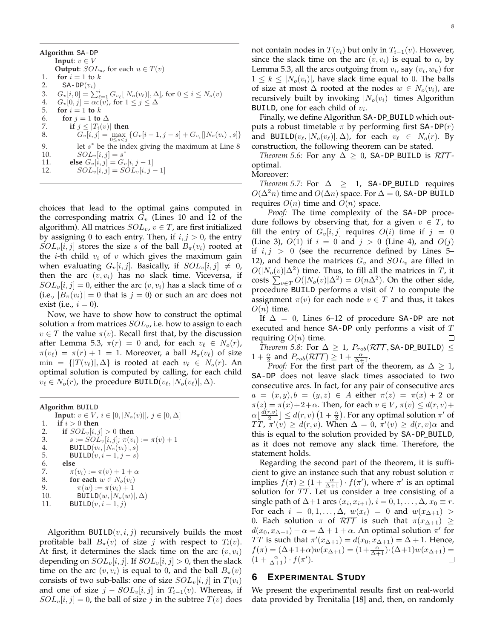**Algorithm** SA-DP **Input**:  $v \in V$ **Output**:  $SOL_u$ , for each  $u \in T(v)$ 1. **for**  $i = 1$  to k 2.  $SA-DP(v_i)$ 3.  $G_v[i, 0] = \sum_{\ell=1}^i G_{v_\ell}[[N_o(v_\ell)], \Delta]$ , for  $0 \le i \le N_o(v)$ 4.  $G_v[0, j] = \alpha c(v)$ , for  $1 \le j \le \Delta$ 5. **for**  $i = 1$  **to**  $k$ 6. **for**  $j = 1$  **to**  $\Delta$ 7. **if**  $j \leq |T_i(v)|$  **then** 8.  $G_v[i, j] = \max_{0 \le s \le j} \{ G_v[i - 1, j - s] + G_{v_i}[|N_o(v_i)|, s] \}$ 9. let  $s^*$  be the index giving the maximum at Line 8 10.  $SOL_v[i, j] = s^*$ 11. **else**  $G_v[i, j] = G_v[i, j-1]$ 12.  $SOL_v[i, j] = SOL_v[i, j-1]$ 

choices that lead to the optimal gains computed in the corresponding matrix  $G_v$  (Lines 10 and 12 of the algorithm). All matrices  $SOL_v$ ,  $v \in T$ , are first initialized by assigning 0 to each entry. Then, if  $i, j > 0$ , the entry  $SOL_v[i, j]$  stores the size s of the ball  $B_\pi(v_i)$  rooted at the *i*-th child  $v_i$  of  $v$  which gives the maximum gain when evaluating  $G_v[i, j]$ . Basically, if  $SOL_v[i, j] \neq 0$ , then the arc  $(v, v_i)$  has no slack time. Viceversa, if  $SOL_v[i, j] = 0$ , either the arc  $(v, v_i)$  has a slack time of  $\alpha$ (i.e.,  $|B_{\pi}(v_i)| = 0$  that is  $j = 0$ ) or such an arc does not exist (i.e.,  $i = 0$ ).

Now, we have to show how to construct the optimal solution  $\pi$  from matrices  $SOL_v$ , i.e. how to assign to each  $v \in T$  the value  $\pi(v)$ . Recall first that, by the discussion after Lemma 5.3,  $\pi(r) = 0$  and, for each  $v_\ell \in N_o(r)$ ,  $\pi(v_\ell) = \pi(r) + 1 = 1$ . Moreover, a ball  $B_\pi(v_\ell)$  of size  $\min = \{ |T(v_\ell)|, \Delta \}$  is rooted at each  $v_\ell \in N_o(r)$ . An optimal solution is computed by calling, for each child  $v_\ell \in N_o(r)$ , the procedure BUILD $(v_\ell, |N_o(v_\ell)|, \Delta)$ .

**Algorithm** BUILD **Input**:  $v \in V$ ,  $i \in [0, |N_o(v)|]$ ,  $j \in [0, ∆]$ 1. **if**  $i > 0$  **then** 2. **if**  $SOL_v[i, j] > 0$  then 3.  $s := SOL_v[i, j]; \pi(v_i) := \pi(v) + 1$ <br>4. BUILD $(v_i, |N_o(v_i)|, s)$  $\texttt{BULD}(v_i, |N_o(v_i)|, s)$ 5. BUILD $(v, i-1, j-s)$ 6. **else** 7.  $\pi(v_i) := \pi(v) + 1 + \alpha$ 8. **for each**  $w \in N_o(v_i)$ 9.  $\pi(w) := \pi(v_i) + 1$ 10. BUILD $(w, |N_o(w)|, \Delta)$ 11. BUILD $(v, i-1, j)$ 

Algorithm  $BULD(v, i, j)$  recursively builds the most profitable ball  $B_{\pi}(v)$  of size j with respect to  $T_i(v)$ . At first, it determines the slack time on the arc  $(v, v_i)$ depending on  $SOL_v[i, j]$ . If  $SOL_v[i, j] > 0$ , then the slack time on the arc  $(v, v_i)$  is equal to 0, and the ball  $B_{\pi}(v)$ consists of two sub-balls: one of size  $SOL_v[i, j]$  in  $T(v_i)$ and one of size  $j - SOL<sub>v</sub>[i, j]$  in  $T<sub>i-1</sub>(v)$ . Whereas, if  $SOL<sub>v</sub>[i, j] = 0$ , the ball of size j in the subtree  $T(v)$  does

not contain nodes in  $T(v_i)$  but only in  $T_{i-1}(v)$ . However, since the slack time on the arc  $(v, v_i)$  is equal to  $\alpha$ , by Lemma 5.3, all the arcs outgoing from  $v_i$ , say  $(v_i, w_k)$  for  $1 \leq k \leq |N_o(v_i)|$ , have slack time equal to 0. The balls of size at most  $\Delta$  rooted at the nodes  $w \in N_o(v_i)$ , are recursively built by invoking  $|N_o(v_i)|$  times Algorithm BUILD, one for each child of  $v_i$ .

Finally, we define Algorithm SA-DP\_BUILD which outputs a robust timetable  $\pi$  by performing first SA-DP(r) and BUILD $(v_{\ell}, |N_o(v_{\ell})|, \Delta)$ , for each  $v_{\ell} \in N_o(r)$ . By construction, the following theorem can be stated.

*Theorem 5.6:* For any  $\Delta \geq 0$ , SA-DP\_BUILD is  $\mathcal{RTT}$ optimal.

Moreover:

*Theorem 5.7:* For  $\Delta \geq 1$ , SA-DP\_BUILD requires  $O(\Delta^2 n)$  time and  $O(\Delta n)$  space. For  $\Delta = 0$ , SA-DP\_BUILD requires  $O(n)$  time and  $O(n)$  space.

*Proof:* The time complexity of the SA-DP procedure follows by observing that, for a given  $v \in T$ , to fill the entry of  $G_v[i, j]$  requires  $O(i)$  time if  $j = 0$ (Line 3),  $O(1)$  if  $i = 0$  and  $j > 0$  (Line 4), and  $O(j)$ if  $i, j > 0$  (see the recurrence defined by Lines 5– 12), and hence the matrices  $G_v$  and  $SOL_v$  are filled in  $O(|N_o(v)|\Delta^2)$  time. Thus, to fill all the matrices in T, it  $C(|N_o(v)|\Delta)$  time. Thus, to fin an the matrices in 1, it<br>costs  $\sum_{v \in T} O(|N_o(v)|\Delta^2) = O(n\Delta^2)$ . On the other side, procedure BUILD performs a visit of  $T$  to compute the assignment  $\pi(v)$  for each node  $v \in T$  and thus, it takes  $O(n)$  time.

If  $\Delta = 0$ , Lines 6–12 of procedure SA-DP are not executed and hence  $SA-DP$  only performs a visit of  $T$ requiring  $O(n)$  time.  $\Box$ 

*Theorem 5.8:* For  $\Delta \geq 1$ ,  $P_{rob}(\mathcal{R}TT, SA-DP_BULID) \leq$  $1 + \frac{\alpha}{2}$  and  $P_{rob}(\mathcal{RTT}) \geq 1 + \frac{\alpha}{\Delta + 1}$ .

*Proof:* For the first part of the theorem, as  $\Delta \geq 1$ , SA-DP does not leave slack times associated to two consecutive arcs. In fact, for any pair of consecutive arcs  $a = (x, y), b = (y, z) \in A$  either  $\pi(z) = \pi(x) + 2$  or  $\pi(z) = \pi(x) + 2 + \alpha$ . Then, for each  $v \in V$ ,  $\pi(v) \leq d(r, v) + d(r, v)$  $\alpha\vert \frac{d(r,v)}{2}$  $\left\lfloor \frac{r,v)}{2} \right\rfloor \leq d(r,v) \left(1+\frac{\alpha}{2}\right).$  For any optimal solution  $\pi'$  of TT,  $\pi'(v) \geq d(r, v)$ . When  $\Delta = 0$ ,  $\pi'(v) \geq d(r, v) \alpha$  and this is equal to the solution provided by SA-DP\_BUILD, as it does not remove any slack time. Therefore, the statement holds.

Regarding the second part of the theorem, it is sufficient to give an instance such that any robust solution  $\pi$ implies  $f(\pi) \geq (1 + \frac{\alpha}{\Delta + 1}) \cdot f(\pi')$ , where  $\pi'$  is an optimal solution for  $TT$ . Let us consider a tree consisting of a single path of  $\Delta+1$  arcs  $(x_i, x_{i+1})$ ,  $i = 0, 1, ..., \Delta$ ,  $x_0 \equiv r$ . For each  $i = 0, 1, \ldots, \Delta$ ,  $w(x_i) = 0$  and  $w(x_{\Delta+1}) >$ 0. Each solution  $\pi$  of RTT is such that  $\pi(x_{\Delta+1}) \ge$  $d(x_0, x_{\Delta+1}) + \alpha = \Delta + 1 + \alpha$ . An optimal solution  $\pi'$  for TT is such that  $\pi'(x_{\Delta+1}) = d(x_0, x_{\Delta+1}) = \Delta + 1$ . Hence,  $f(\pi) = (\Delta + 1 + \alpha)w(x_{\Delta + 1}) = (1 + \frac{\alpha}{\Delta + 1}) \cdot (\Delta + 1)w(x_{\Delta + 1}) =$  $(1+\frac{\alpha}{\Delta+1})\cdot f(\pi').$ 

#### **6 EXPERIMENTAL STUDY**

We present the experimental results first on real-world data provided by Trenitalia [18] and, then, on randomly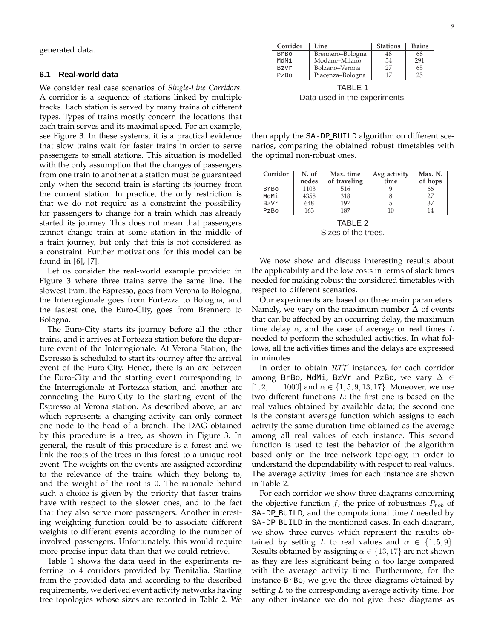generated data.

#### **6.1 Real-world data**

We consider real case scenarios of *Single-Line Corridors*. A corridor is a sequence of stations linked by multiple tracks. Each station is served by many trains of different types. Types of trains mostly concern the locations that each train serves and its maximal speed. For an example, see Figure 3. In these systems, it is a practical evidence that slow trains wait for faster trains in order to serve passengers to small stations. This situation is modelled with the only assumption that the changes of passengers from one train to another at a station must be guaranteed only when the second train is starting its journey from the current station. In practice, the only restriction is that we do not require as a constraint the possibility for passengers to change for a train which has already started its journey. This does not mean that passengers cannot change train at some station in the middle of a train journey, but only that this is not considered as a constraint. Further motivations for this model can be found in [6], [7].

Let us consider the real-world example provided in Figure 3 where three trains serve the same line. The slowest train, the Espresso, goes from Verona to Bologna, the Interregionale goes from Fortezza to Bologna, and the fastest one, the Euro-City, goes from Brennero to Bologna.

The Euro-City starts its journey before all the other trains, and it arrives at Fortezza station before the departure event of the Interregionale. At Verona Station, the Espresso is scheduled to start its journey after the arrival event of the Euro-City. Hence, there is an arc between the Euro-City and the starting event corresponding to the Interregionale at Fortezza station, and another arc connecting the Euro-City to the starting event of the Espresso at Verona station. As described above, an arc which represents a changing activity can only connect one node to the head of a branch. The DAG obtained by this procedure is a tree, as shown in Figure 3. In general, the result of this procedure is a forest and we link the roots of the trees in this forest to a unique root event. The weights on the events are assigned according to the relevance of the trains which they belong to, and the weight of the root is 0. The rationale behind such a choice is given by the priority that faster trains have with respect to the slower ones, and to the fact that they also serve more passengers. Another interesting weighting function could be to associate different weights to different events according to the number of involved passengers. Unfortunately, this would require more precise input data than that we could retrieve.

Table 1 shows the data used in the experiments referring to 4 corridors provided by Trenitalia. Starting from the provided data and according to the described requirements, we derived event activity networks having tree topologies whose sizes are reported in Table 2. We

| Corridor    | Line             | <b>Stations</b> | <b>Trains</b> |
|-------------|------------------|-----------------|---------------|
| <b>BrBo</b> | Brennero-Bologna | 48              | 68            |
| MdMi        | Modane-Milano    | 54              | 291           |
| BzVr        | Bolzano-Verona   | 27              | 65            |
| PZBO        | Piacenza-Bologna | 17              | 25            |

TABLE 1 Data used in the experiments.

then apply the SA-DP BUILD algorithm on different scenarios, comparing the obtained robust timetables with the optimal non-robust ones.

| Corridor    | N. of | Max. time    | Avg activity | Max. N. |
|-------------|-------|--------------|--------------|---------|
|             | nodes | of traveling | time         | of hops |
| <b>BrBo</b> | 1103  | 516          |              | 66      |
| MdMi        | 4358  | 318          |              | 27      |
| BzVr        | 648   | 197          | 5            | 37      |
| PzBo        | 163   | 187          | 10           | 14      |
|             |       |              |              |         |

TABLE 2 Sizes of the trees.

We now show and discuss interesting results about the applicability and the low costs in terms of slack times needed for making robust the considered timetables with respect to different scenarios.

Our experiments are based on three main parameters. Namely, we vary on the maximum number  $\Delta$  of events that can be affected by an occurring delay, the maximum time delay  $\alpha$ , and the case of average or real times L needed to perform the scheduled activities. In what follows, all the activities times and the delays are expressed in minutes.

In order to obtain RTT instances, for each corridor among BrBo, MdMi, BzVr and PzBo, we vary  $\Delta \in$  $[1, 2, \ldots, 1000]$  and  $\alpha \in \{1, 5, 9, 13, 17\}$ . Moreover, we use two different functions L: the first one is based on the real values obtained by available data; the second one is the constant average function which assigns to each activity the same duration time obtained as the average among all real values of each instance. This second function is used to test the behavior of the algorithm based only on the tree network topology, in order to understand the dependability with respect to real values. The average activity times for each instance are shown in Table 2.

For each corridor we show three diagrams concerning the objective function  $f$ , the price of robustness  $P_{rob}$  of SA-DP\_BUILD, and the computational time  $t$  needed by SA-DP\_BUILD in the mentioned cases. In each diagram, we show three curves which represent the results obtained by setting L to real values and  $\alpha \in \{1, 5, 9\}.$ Results obtained by assigning  $\alpha \in \{13, 17\}$  are not shown as they are less significant being  $\alpha$  too large compared with the average activity time. Furthermore, for the instance BrBo, we give the three diagrams obtained by setting  $L$  to the corresponding average activity time. For any other instance we do not give these diagrams as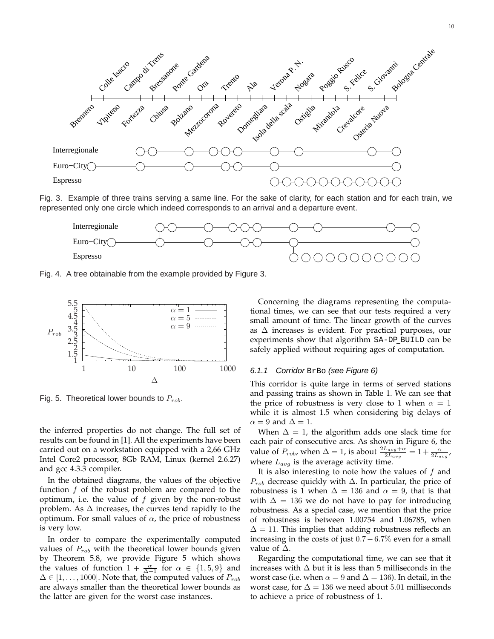

Fig. 3. Example of three trains serving a same line. For the sake of clarity, for each station and for each train, we represented only one circle which indeed corresponds to an arrival and a departure event.



Fig. 4. A tree obtainable from the example provided by Figure 3.



Fig. 5. Theoretical lower bounds to  $P_{rob}$ .

the inferred properties do not change. The full set of results can be found in [1]. All the experiments have been carried out on a workstation equipped with a 2,66 GHz Intel Core2 processor, 8Gb RAM, Linux (kernel 2.6.27) and gcc 4.3.3 compiler.

In the obtained diagrams, the values of the objective function  $f$  of the robust problem are compared to the optimum, i.e. the value of  $f$  given by the non-robust problem. As  $\Delta$  increases, the curves tend rapidly to the optimum. For small values of  $\alpha$ , the price of robustness is very low.

In order to compare the experimentally computed values of  $P_{rob}$  with the theoretical lower bounds given by Theorem 5.8, we provide Figure 5 which shows the values of function  $1 + \frac{\alpha}{\Delta + 1}$  for  $\alpha \in \{1, 5, 9\}$  and  $\Delta \in [1, \ldots, 1000]$ . Note that, the computed values of  $P_{rob}$ are always smaller than the theoretical lower bounds as the latter are given for the worst case instances.

Concerning the diagrams representing the computational times, we can see that our tests required a very small amount of time. The linear growth of the curves as  $\Delta$  increases is evident. For practical purposes, our experiments show that algorithm SA-DP\_BUILD can be safely applied without requiring ages of computation.

#### 6.1.1 Corridor BrBo (see Figure 6)

This corridor is quite large in terms of served stations and passing trains as shown in Table 1. We can see that the price of robustness is very close to 1 when  $\alpha = 1$ while it is almost 1.5 when considering big delays of  $\alpha = 9$  and  $\Delta = 1$ .

When  $\Delta = 1$ , the algorithm adds one slack time for each pair of consecutive arcs. As shown in Figure 6, the value of  $P_{rob}$ , when  $\Delta = 1$ , is about  $\frac{2L_{avg} + \alpha}{2L_{avg}} = 1 + \frac{\alpha}{2L_{avg}}$ , where  $L_{avg}$  is the average activity time.

It is also interesting to note how the values of  $f$  and  $P_{rob}$  decrease quickly with  $\Delta$ . In particular, the price of robustness is 1 when  $\Delta = 136$  and  $\alpha = 9$ , that is that with  $\Delta = 136$  we do not have to pay for introducing robustness. As a special case, we mention that the price of robustness is between 1.00754 and 1.06785, when  $\Delta = 11$ . This implies that adding robustness reflects an increasing in the costs of just  $0.7-6.7\%$  even for a small value of  $\Delta$ .

Regarding the computational time, we can see that it increases with  $\Delta$  but it is less than 5 milliseconds in the worst case (i.e. when  $\alpha = 9$  and  $\Delta = 136$ ). In detail, in the worst case, for  $\Delta = 136$  we need about 5.01 milliseconds to achieve a price of robustness of 1.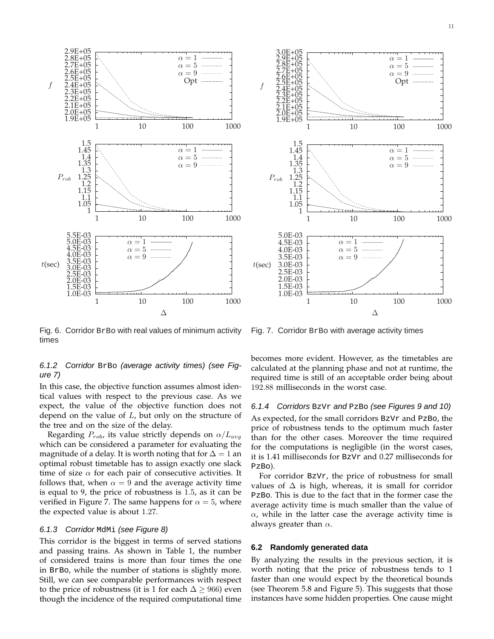

Fig. 6. Corridor  $BrBo$  with real values of minimum activity times

#### 6.1.2 Corridor BrBo (average activity times) (see Figure 7)

In this case, the objective function assumes almost identical values with respect to the previous case. As we expect, the value of the objective function does not depend on the value of  $L$ , but only on the structure of the tree and on the size of the delay.

Regarding  $P_{rob}$ , its value strictly depends on  $\alpha/L_{avg}$ which can be considered a parameter for evaluating the magnitude of a delay. It is worth noting that for  $\Delta = 1$  an optimal robust timetable has to assign exactly one slack time of size  $\alpha$  for each pair of consecutive activities. It follows that, when  $\alpha = 9$  and the average activity time is equal to 9, the price of robustness is 1.5, as it can be verified in Figure 7. The same happens for  $\alpha = 5$ , where the expected value is about 1.27.

#### 6.1.3 Corridor MdMi (see Figure 8)

This corridor is the biggest in terms of served stations and passing trains. As shown in Table 1, the number of considered trains is more than four times the one in BrBo, while the number of stations is slightly more. Still, we can see comparable performances with respect to the price of robustness (it is 1 for each  $\Delta \geq 966$ ) even though the incidence of the required computational time



Fig. 7. Corridor  $BrBo$  with average activity times

becomes more evident. However, as the timetables are calculated at the planning phase and not at runtime, the required time is still of an acceptable order being about 192.88 milliseconds in the worst case.

#### 6.1.4 Corridors BzVr and PzBo (see Figures 9 and 10)

As expected, for the small corridors BzVr and PzBo, the price of robustness tends to the optimum much faster than for the other cases. Moreover the time required for the computations is negligible (in the worst cases, it is 1.41 milliseconds for BzVr and 0.27 milliseconds for PzBo).

For corridor BzVr, the price of robustness for small values of  $\Delta$  is high, whereas, it is small for corridor PzBo. This is due to the fact that in the former case the average activity time is much smaller than the value of  $\alpha$ , while in the latter case the average activity time is always greater than  $\alpha$ .

#### **6.2 Randomly generated data**

By analyzing the results in the previous section, it is worth noting that the price of robustness tends to 1 faster than one would expect by the theoretical bounds (see Theorem 5.8 and Figure 5). This suggests that those instances have some hidden properties. One cause might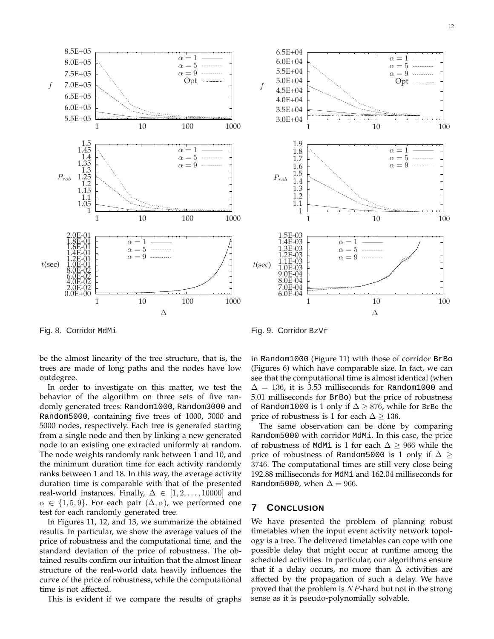



Fig. 8. Corridor MdMi

Fig. 9. Corridor BzVr

be the almost linearity of the tree structure, that is, the trees are made of long paths and the nodes have low outdegree.

In order to investigate on this matter, we test the behavior of the algorithm on three sets of five randomly generated trees: Random1000, Random3000 and Random5000, containing five trees of 1000, 3000 and 5000 nodes, respectively. Each tree is generated starting from a single node and then by linking a new generated node to an existing one extracted uniformly at random. The node weights randomly rank between 1 and 10, and the minimum duration time for each activity randomly ranks between 1 and 18. In this way, the average activity duration time is comparable with that of the presented real-world instances. Finally,  $\Delta \in [1, 2, \ldots, 10000]$  and  $\alpha \in \{1, 5, 9\}$ . For each pair  $(\Delta, \alpha)$ , we performed one test for each randomly generated tree.

In Figures 11, 12, and 13, we summarize the obtained results. In particular, we show the average values of the price of robustness and the computational time, and the standard deviation of the price of robustness. The obtained results confirm our intuition that the almost linear structure of the real-world data heavily influences the curve of the price of robustness, while the computational time is not affected.

This is evident if we compare the results of graphs

in Random1000 (Figure 11) with those of corridor BrBo (Figures 6) which have comparable size. In fact, we can see that the computational time is almost identical (when  $\Delta = 136$ , it is 3.53 milliseconds for Random1000 and 5.01 milliseconds for BrBo) but the price of robustness of Random1000 is 1 only if  $\Delta \geq 876$ , while for BrBo the price of robustness is 1 for each  $\Delta \geq 136$ .

The same observation can be done by comparing Random5000 with corridor MdMi. In this case, the price of robustness of MdMi is 1 for each  $\Delta \geq 966$  while the price of robustness of Random5000 is 1 only if  $\Delta \geq$ 3746. The computational times are still very close being 192.88 milliseconds for MdMi and 162.04 milliseconds for Random5000, when  $\Delta = 966$ .

#### **7 CONCLUSION**

We have presented the problem of planning robust timetables when the input event activity network topology is a tree. The delivered timetables can cope with one possible delay that might occur at runtime among the scheduled activities. In particular, our algorithms ensure that if a delay occurs, no more than  $\Delta$  activities are affected by the propagation of such a delay. We have proved that the problem is  $NP$ -hard but not in the strong sense as it is pseudo-polynomially solvable.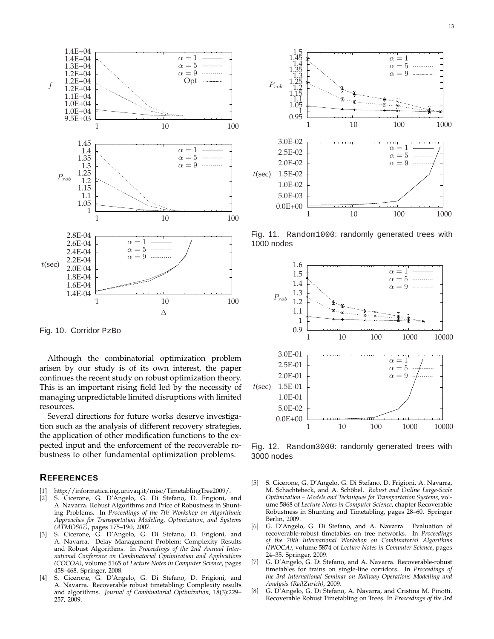

Fig. 10. Corridor PzBo

Although the combinatorial optimization problem arisen by our study is of its own interest, the paper continues the recent study on robust optimization theory. This is an important rising field led by the necessity of managing unpredictable limited disruptions with limited resources.

Several directions for future works deserve investigation such as the analysis of different recovery strategies, the application of other modification functions to the expected input and the enforcement of the recoverable robustness to other fundamental optimization problems.

#### **REFERENCES**

- http://informatica.ing.univaq.it/misc/TimetablingTree2009/.
- [2] S. Cicerone, G. D'Angelo, G. Di Stefano, D. Frigioni, and A. Navarra. Robust Algorithms and Price of Robustness in Shunting Problems. In *Proceedings of the 7th Workshop on Algorithmic Approaches for Transportation Modeling, Optimization, and Systems (ATMOS07)*, pages 175–190, 2007.
- [3] S. Cicerone, G. D'Angelo, G. Di Stefano, D. Frigioni, and A. Navarra. Delay Management Problem: Complexity Results and Robust Algorithms. In *Proceedings of the 2nd Annual International Conference on Combinatorial Optimization and Applications (COCOA)*, volume 5165 of *Lecture Notes in Computer Science*, pages 458–468. Springer, 2008.
- [4] S. Cicerone, G. D'Angelo, G. Di Stefano, D. Frigioni, and A. Navarra. Recoverable robust timetabling: Complexity results and algorithms. *Journal of Combinatorial Optimization*, 18(3):229– 257, 2009.



Fig. 11. Random1000: randomly generated trees with 1000 nodes



Fig. 12. Random3000: randomly generated trees with 3000 nodes

- [5] S. Cicerone, G. D'Angelo, G. Di Stefano, D. Frigioni, A. Navarra, M. Schachtebeck, and A. Schöbel. Robust and Online Large-Scale *Optimization – Models and Techniques for Transportation Systems*, volume 5868 of *Lecture Notes in Computer Science*, chapter Recoverable Robustness in Shunting and Timetabling, pages 28–60. Springer Berlin, 2009.
- [6] G. D'Angelo, G. Di Stefano, and A. Navarra. Evaluation of recoverable-robust timetables on tree networks. In *Proceedings of the 20th International Workshop on Combinatorial Algorithms (IWOCA)*, volume 5874 of *Lecture Notes in Computer Science*, pages 24–35. Springer, 2009.
- [7] G. D'Angelo, G. Di Stefano, and A. Navarra. Recoverable-robust timetables for trains on single-line corridors. In *Proceedings of the 3rd International Seminar on Railway Operations Modelling and Analysis (RailZurich)*, 2009.
- [8] G. D'Angelo, G. Di Stefano, A. Navarra, and Cristina M. Pinotti. Recoverable Robust Timetabling on Trees. In *Proceedings of the 3rd*